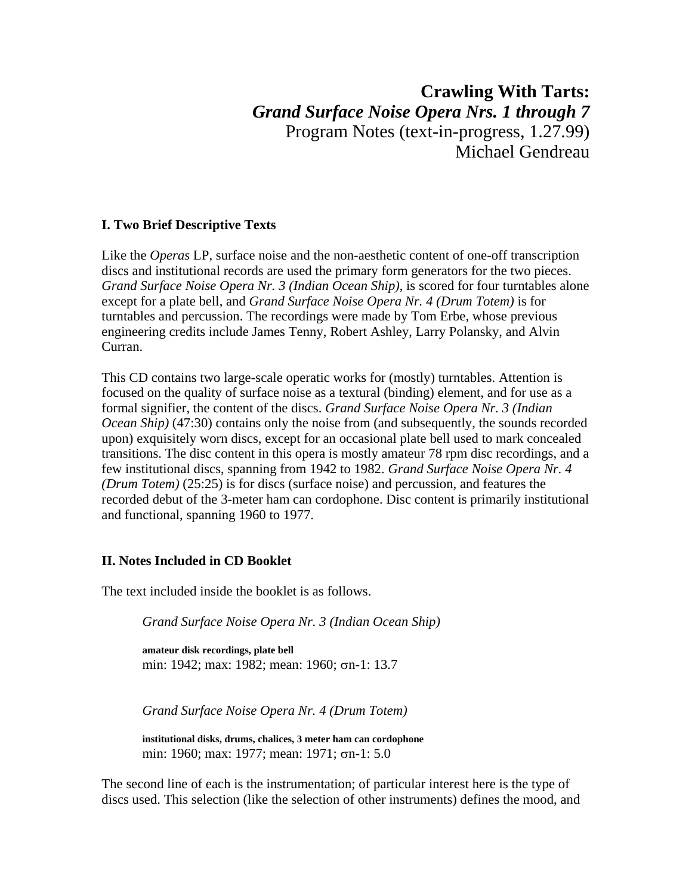# **Crawling With Tarts:**  *Grand Surface Noise Opera Nrs. 1 through 7* Program Notes (text-in-progress, 1.27.99) Michael Gendreau

# **I. Two Brief Descriptive Texts**

Like the *Operas* LP, surface noise and the non-aesthetic content of one-off transcription discs and institutional records are used the primary form generators for the two pieces. *Grand Surface Noise Opera Nr. 3 (Indian Ocean Ship)*, is scored for four turntables alone except for a plate bell, and *Grand Surface Noise Opera Nr. 4 (Drum Totem)* is for turntables and percussion. The recordings were made by Tom Erbe, whose previous engineering credits include James Tenny, Robert Ashley, Larry Polansky, and Alvin Curran.

This CD contains two large-scale operatic works for (mostly) turntables. Attention is focused on the quality of surface noise as a textural (binding) element, and for use as a formal signifier, the content of the discs. *Grand Surface Noise Opera Nr. 3 (Indian Ocean Ship)* (47:30) contains only the noise from (and subsequently, the sounds recorded upon) exquisitely worn discs, except for an occasional plate bell used to mark concealed transitions. The disc content in this opera is mostly amateur 78 rpm disc recordings, and a few institutional discs, spanning from 1942 to 1982. *Grand Surface Noise Opera Nr. 4 (Drum Totem)* (25:25) is for discs (surface noise) and percussion, and features the recorded debut of the 3-meter ham can cordophone. Disc content is primarily institutional and functional, spanning 1960 to 1977.

# **II. Notes Included in CD Booklet**

The text included inside the booklet is as follows.

*Grand Surface Noise Opera Nr. 3 (Indian Ocean Ship)* 

**amateur disk recordings, plate bell** min: 1942; max: 1982; mean: 1960; σn-1: 13.7

*Grand Surface Noise Opera Nr. 4 (Drum Totem)* 

**institutional disks, drums, chalices, 3 meter ham can cordophone**  min: 1960; max: 1977; mean: 1971; σn-1: 5.0

The second line of each is the instrumentation; of particular interest here is the type of discs used. This selection (like the selection of other instruments) defines the mood, and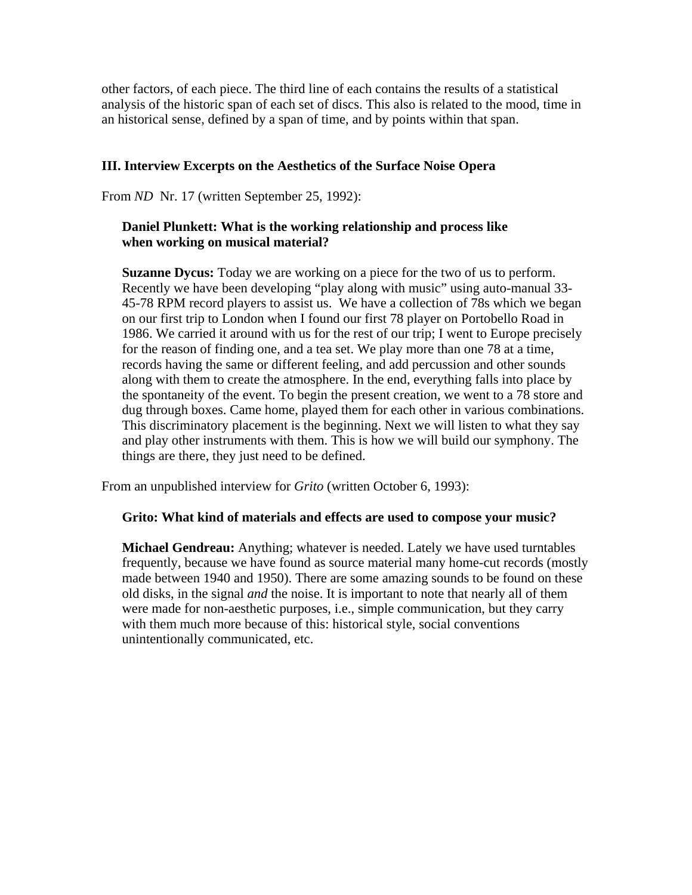other factors, of each piece. The third line of each contains the results of a statistical analysis of the historic span of each set of discs. This also is related to the mood, time in an historical sense, defined by a span of time, and by points within that span.

## **III. Interview Excerpts on the Aesthetics of the Surface Noise Opera**

From *ND* Nr. 17 (written September 25, 1992):

# **Daniel Plunkett: What is the working relationship and process like when working on musical material?**

**Suzanne Dycus:** Today we are working on a piece for the two of us to perform. Recently we have been developing "play along with music" using auto-manual 33- 45-78 RPM record players to assist us. We have a collection of 78s which we began on our first trip to London when I found our first 78 player on Portobello Road in 1986. We carried it around with us for the rest of our trip; I went to Europe precisely for the reason of finding one, and a tea set. We play more than one 78 at a time, records having the same or different feeling, and add percussion and other sounds along with them to create the atmosphere. In the end, everything falls into place by the spontaneity of the event. To begin the present creation, we went to a 78 store and dug through boxes. Came home, played them for each other in various combinations. This discriminatory placement is the beginning. Next we will listen to what they say and play other instruments with them. This is how we will build our symphony. The things are there, they just need to be defined.

From an unpublished interview for *Grito* (written October 6, 1993):

### **Grito: What kind of materials and effects are used to compose your music?**

**Michael Gendreau:** Anything; whatever is needed. Lately we have used turntables frequently, because we have found as source material many home-cut records (mostly made between 1940 and 1950). There are some amazing sounds to be found on these old disks, in the signal *and* the noise. It is important to note that nearly all of them were made for non-aesthetic purposes, i.e., simple communication, but they carry with them much more because of this: historical style, social conventions unintentionally communicated, etc.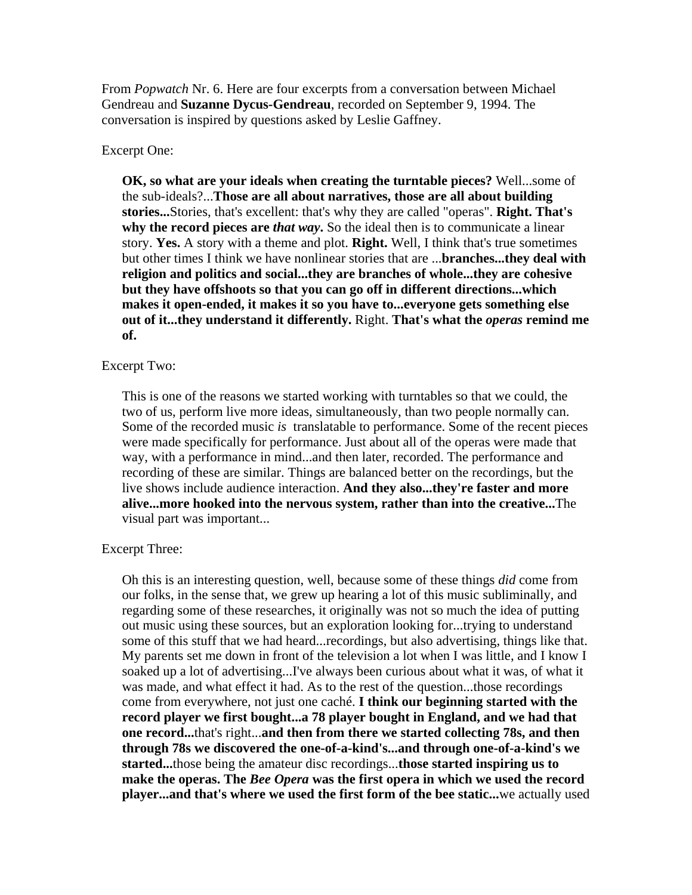From *Popwatch* Nr. 6. Here are four excerpts from a conversation between Michael Gendreau and **Suzanne Dycus-Gendreau**, recorded on September 9, 1994. The conversation is inspired by questions asked by Leslie Gaffney.

#### Excerpt One:

**OK, so what are your ideals when creating the turntable pieces?** Well...some of the sub-ideals?...**Those are all about narratives, those are all about building stories...**Stories, that's excellent: that's why they are called "operas". **Right. That's why the record pieces are** *that way***.** So the ideal then is to communicate a linear story. **Yes.** A story with a theme and plot. **Right.** Well, I think that's true sometimes but other times I think we have nonlinear stories that are ...**branches...they deal with religion and politics and social...they are branches of whole...they are cohesive but they have offshoots so that you can go off in different directions...which makes it open-ended, it makes it so you have to...everyone gets something else out of it...they understand it differently.** Right. **That's what the** *operas* **remind me of.** 

#### Excerpt Two:

This is one of the reasons we started working with turntables so that we could, the two of us, perform live more ideas, simultaneously, than two people normally can. Some of the recorded music *is* translatable to performance. Some of the recent pieces were made specifically for performance. Just about all of the operas were made that way, with a performance in mind...and then later, recorded. The performance and recording of these are similar. Things are balanced better on the recordings, but the live shows include audience interaction. **And they also...they're faster and more alive...more hooked into the nervous system, rather than into the creative...**The visual part was important...

#### Excerpt Three:

Oh this is an interesting question, well, because some of these things *did* come from our folks, in the sense that, we grew up hearing a lot of this music subliminally, and regarding some of these researches, it originally was not so much the idea of putting out music using these sources, but an exploration looking for...trying to understand some of this stuff that we had heard...recordings, but also advertising, things like that. My parents set me down in front of the television a lot when I was little, and I know I soaked up a lot of advertising...I've always been curious about what it was, of what it was made, and what effect it had. As to the rest of the question...those recordings come from everywhere, not just one caché. **I think our beginning started with the record player we first bought...a 78 player bought in England, and we had that one record...**that's right...**and then from there we started collecting 78s, and then through 78s we discovered the one-of-a-kind's...and through one-of-a-kind's we started...**those being the amateur disc recordings...**those started inspiring us to make the operas. The** *Bee Opera* **was the first opera in which we used the record player...and that's where we used the first form of the bee static...**we actually used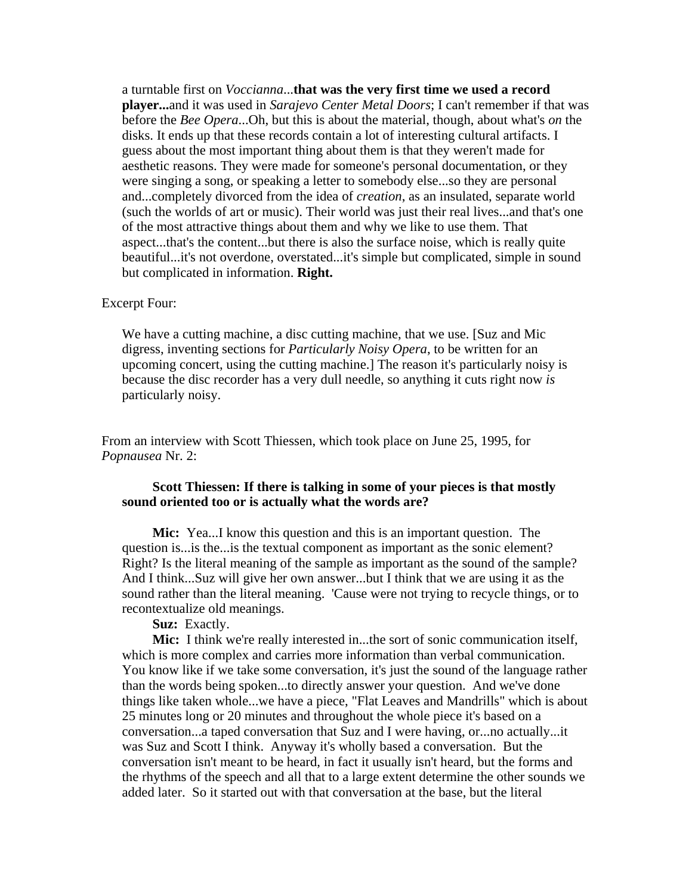a turntable first on *Voccianna*...**that was the very first time we used a record player...**and it was used in *Sarajevo Center Metal Doors*; I can't remember if that was before the *Bee Opera*...Oh, but this is about the material, though, about what's *on* the disks. It ends up that these records contain a lot of interesting cultural artifacts. I guess about the most important thing about them is that they weren't made for aesthetic reasons. They were made for someone's personal documentation, or they were singing a song, or speaking a letter to somebody else...so they are personal and...completely divorced from the idea of *creation*, as an insulated, separate world (such the worlds of art or music). Their world was just their real lives...and that's one of the most attractive things about them and why we like to use them. That aspect...that's the content...but there is also the surface noise, which is really quite beautiful...it's not overdone, overstated...it's simple but complicated, simple in sound but complicated in information. **Right.** 

#### Excerpt Four:

We have a cutting machine, a disc cutting machine, that we use. [Suz and Mic digress, inventing sections for *Particularly Noisy Opera*, to be written for an upcoming concert, using the cutting machine.] The reason it's particularly noisy is because the disc recorder has a very dull needle, so anything it cuts right now *is* particularly noisy.

From an interview with Scott Thiessen, which took place on June 25, 1995, for *Popnausea* Nr. 2:

#### **Scott Thiessen: If there is talking in some of your pieces is that mostly sound oriented too or is actually what the words are?**

**Mic:** Yea...I know this question and this is an important question. The question is...is the...is the textual component as important as the sonic element? Right? Is the literal meaning of the sample as important as the sound of the sample? And I think...Suz will give her own answer...but I think that we are using it as the sound rather than the literal meaning. 'Cause were not trying to recycle things, or to recontextualize old meanings.

**Suz:** Exactly.

**Mic:** I think we're really interested in...the sort of sonic communication itself, which is more complex and carries more information than verbal communication. You know like if we take some conversation, it's just the sound of the language rather than the words being spoken...to directly answer your question. And we've done things like taken whole...we have a piece, "Flat Leaves and Mandrills" which is about 25 minutes long or 20 minutes and throughout the whole piece it's based on a conversation...a taped conversation that Suz and I were having, or...no actually...it was Suz and Scott I think. Anyway it's wholly based a conversation. But the conversation isn't meant to be heard, in fact it usually isn't heard, but the forms and the rhythms of the speech and all that to a large extent determine the other sounds we added later. So it started out with that conversation at the base, but the literal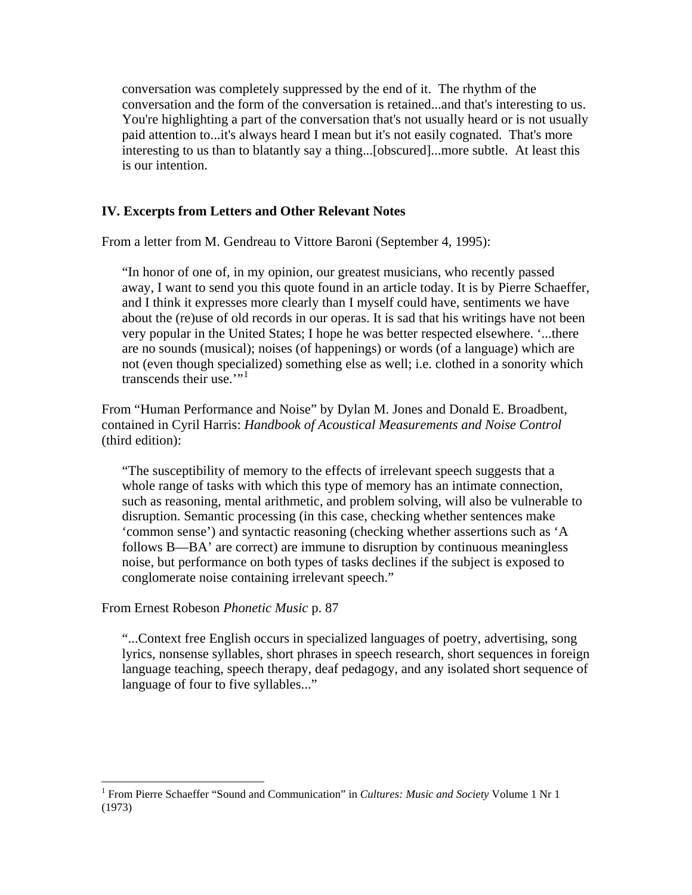conversation was completely suppressed by the end of it. The rhythm of the conversation and the form of the conversation is retained...and that's interesting to us. You're highlighting a part of the conversation that's not usually heard or is not usually paid attention to...it's always heard I mean but it's not easily cognated. That's more interesting to us than to blatantly say a thing...[obscured]...more subtle. At least this is our intention.

# **IV. Excerpts from Letters and Other Relevant Notes**

From a letter from M. Gendreau to Vittore Baroni (September 4, 1995):

"In honor of one of, in my opinion, our greatest musicians, who recently passed away, I want to send you this quote found in an article today. It is by Pierre Schaeffer, and I think it expresses more clearly than I myself could have, sentiments we have about the (re)use of old records in our operas. It is sad that his writings have not been very popular in the United States; I hope he was better respected elsewhere. '...there are no sounds (musical); noises (of happenings) or words (of a language) which are not (even though specialized) something else as well; i.e. clothed in a sonority which transcends their use. $"$ <sup>[1](#page-4-0)</sup>

From "Human Performance and Noise" by Dylan M. Jones and Donald E. Broadbent, contained in Cyril Harris: *Handbook of Acoustical Measurements and Noise Control* (third edition):

"The susceptibility of memory to the effects of irrelevant speech suggests that a whole range of tasks with which this type of memory has an intimate connection, such as reasoning, mental arithmetic, and problem solving, will also be vulnerable to disruption. Semantic processing (in this case, checking whether sentences make 'common sense') and syntactic reasoning (checking whether assertions such as 'A follows B––BA' are correct) are immune to disruption by continuous meaningless noise, but performance on both types of tasks declines if the subject is exposed to conglomerate noise containing irrelevant speech."

From Ernest Robeson *Phonetic Music* p. 87

 $\overline{a}$ 

"...Context free English occurs in specialized languages of poetry, advertising, song lyrics, nonsense syllables, short phrases in speech research, short sequences in foreign language teaching, speech therapy, deaf pedagogy, and any isolated short sequence of language of four to five syllables..."

<span id="page-4-0"></span><sup>&</sup>lt;sup>1</sup> From Pierre Schaeffer "Sound and Communication" in *Cultures: Music and Society* Volume 1 Nr 1 (1973)